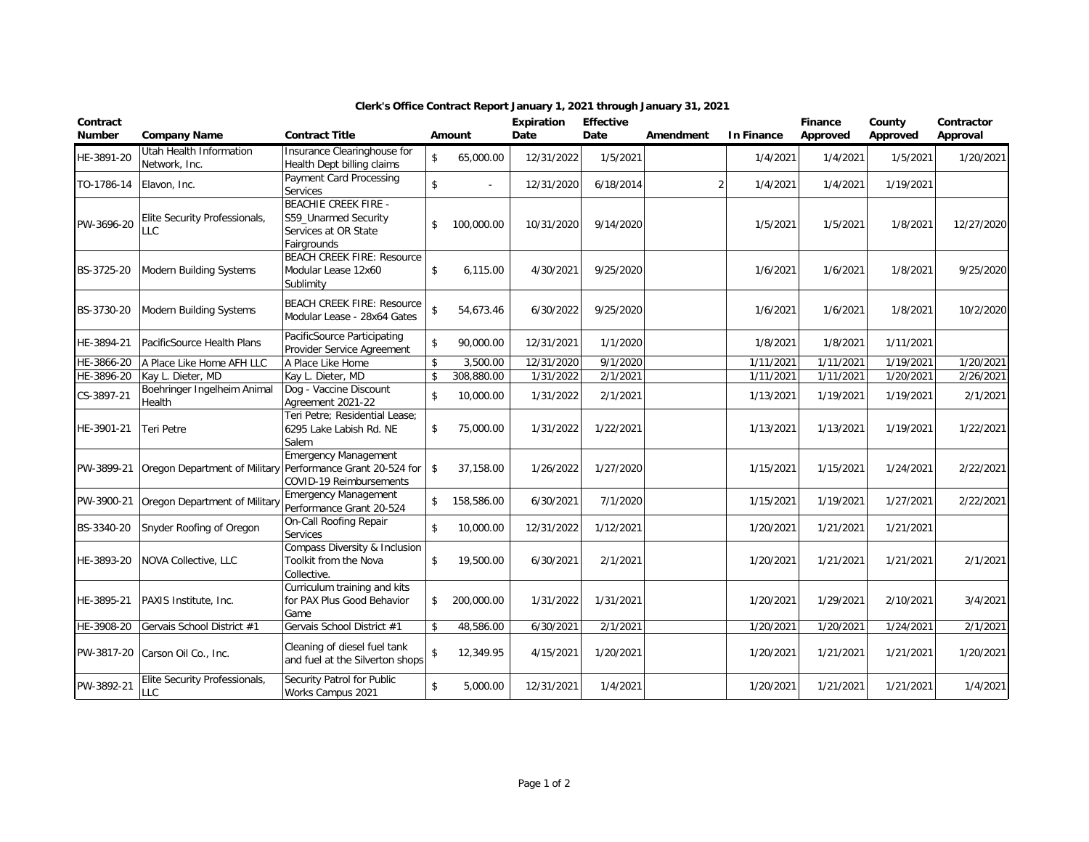| Contract<br><b>Number</b> | <b>Company Name</b>                      | <b>Contract Title</b>                                                                      |                    | Amount     | Expiration<br>Date | <b>Effective</b><br>Date | Amendment      | <b>In Finance</b> | <b>Finance</b><br>Approved | County<br>Approved | Contractor<br>Approval |
|---------------------------|------------------------------------------|--------------------------------------------------------------------------------------------|--------------------|------------|--------------------|--------------------------|----------------|-------------------|----------------------------|--------------------|------------------------|
| HE-3891-20                | Utah Health Information<br>Network, Inc. | Insurance Clearinghouse for<br>Health Dept billing claims                                  | \$                 | 65,000.00  | 12/31/2022         | 1/5/2021                 |                | 1/4/2021          | 1/4/2021                   | 1/5/2021           | 1/20/2021              |
| TO-1786-14                | Elavon, Inc.                             | Payment Card Processing<br>Services                                                        | \$                 |            | 12/31/2020         | 6/18/2014                | $\overline{2}$ | 1/4/2021          | 1/4/2021                   | 1/19/2021          |                        |
| PW-3696-20                | Elite Security Professionals,<br>LLC     | <b>BEACHIE CREEK FIRE -</b><br>S59_Unarmed Security<br>Services at OR State<br>Fairgrounds | \$                 | 100,000.00 | 10/31/2020         | 9/14/2020                |                | 1/5/2021          | 1/5/2021                   | 1/8/2021           | 12/27/2020             |
| BS-3725-20                | Modern Building Systems                  | <b>BEACH CREEK FIRE: Resource</b><br>Modular Lease 12x60<br>Sublimity                      | \$                 | 6,115.00   | 4/30/2021          | 9/25/2020                |                | 1/6/2021          | 1/6/2021                   | 1/8/2021           | 9/25/2020              |
| BS-3730-20                | Modern Building Systems                  | <b>BEACH CREEK FIRE: Resource</b><br>Modular Lease - 28x64 Gates                           | \$                 | 54,673.46  | 6/30/2022          | 9/25/2020                |                | 1/6/2021          | 1/6/2021                   | 1/8/2021           | 10/2/2020              |
| HE-3894-21                | PacificSource Health Plans               | PacificSource Participating<br>Provider Service Agreement                                  | \$                 | 90,000.00  | 12/31/2021         | 1/1/2020                 |                | 1/8/2021          | 1/8/2021                   | 1/11/2021          |                        |
| HE-3866-20                | A Place Like Home AFH LLC                | A Place Like Home                                                                          | \$                 | 3,500.00   | 12/31/2020         | $\frac{1}{9/1/2020}$     |                | 1/11/2021         | 1/11/2021                  | 1/19/2021          | $\frac{1}{20/2021}$    |
| HE-3896-20                | Kay L. Dieter, MD                        | Kay L. Dieter, MD                                                                          | $\mathbf{\hat{S}}$ | 308,880.00 | 1/31/2022          | 2/1/2021                 |                | 1/11/2021         | 1/11/2021                  | 1/20/2021          | 2/26/2021              |
| CS-3897-21                | Boehringer Ingelheim Animal<br>Health    | Dog - Vaccine Discount<br>Agreement 2021-22                                                | $\mathbf{\hat{S}}$ | 10,000.00  | 1/31/2022          | 2/1/2021                 |                | 1/13/2021         | 1/19/2021                  | 1/19/2021          | 2/1/2021               |
| HE-3901-21                | Teri Petre                               | Teri Petre; Residential Lease;<br>6295 Lake Labish Rd. NE<br>Salem                         | \$                 | 75,000.00  | 1/31/2022          | 1/22/2021                |                | 1/13/2021         | 1/13/2021                  | 1/19/2021          | 1/22/2021              |
| PW-3899-21                | Oregon Department of Military            | <b>Emergency Management</b><br>Performance Grant 20-524 for<br>COVID-19 Reimbursements     | \$                 | 37,158.00  | 1/26/2022          | 1/27/2020                |                | 1/15/2021         | 1/15/2021                  | 1/24/2021          | 2/22/2021              |
| PW-3900-21                | Oregon Department of Military            | <b>Emergency Management</b><br>Performance Grant 20-524                                    | \$                 | 158,586.00 | 6/30/2021          | 7/1/2020                 |                | 1/15/2021         | 1/19/2021                  | 1/27/2021          | 2/22/2021              |
| BS-3340-20                | Snyder Roofing of Oregon                 | On-Call Roofing Repair<br>Services                                                         | \$                 | 10,000.00  | 12/31/2022         | 1/12/2021                |                | 1/20/2021         | 1/21/2021                  | 1/21/2021          |                        |
| HE-3893-20                | NOVA Collective, LLC                     | Compass Diversity & Inclusion<br>Toolkit from the Nova<br>Collective.                      | \$                 | 19,500.00  | 6/30/2021          | 2/1/2021                 |                | 1/20/2021         | 1/21/2021                  | 1/21/2021          | 2/1/2021               |
| HE-3895-21                | PAXIS Institute, Inc.                    | Curriculum training and kits<br>for PAX Plus Good Behavior<br>Game                         | \$                 | 200,000.00 | 1/31/2022          | 1/31/2021                |                | 1/20/2021         | 1/29/2021                  | 2/10/2021          | 3/4/2021               |
| HE-3908-20                | Gervais School District #1               | Gervais School District #1                                                                 | \$                 | 48,586.00  | 6/30/2021          | 2/1/2021                 |                | 1/20/2021         | 1/20/2021                  | 1/24/2021          | 2/1/2021               |
| PW-3817-20                | Carson Oil Co., Inc.                     | Cleaning of diesel fuel tank<br>and fuel at the Silverton shops                            | \$                 | 12,349.95  | 4/15/2021          | 1/20/2021                |                | 1/20/2021         | 1/21/2021                  | 1/21/2021          | 1/20/2021              |
| PW-3892-21                | Elite Security Professionals,<br>LLC     | Security Patrol for Public<br>Works Campus 2021                                            | $\mathbf{\hat{S}}$ | 5,000.00   | 12/31/2021         | 1/4/2021                 |                | 1/20/2021         | 1/21/2021                  | 1/21/2021          | 1/4/2021               |

## **Clerk's Office Contract Report January 1, 2021 through January 31, 2021**